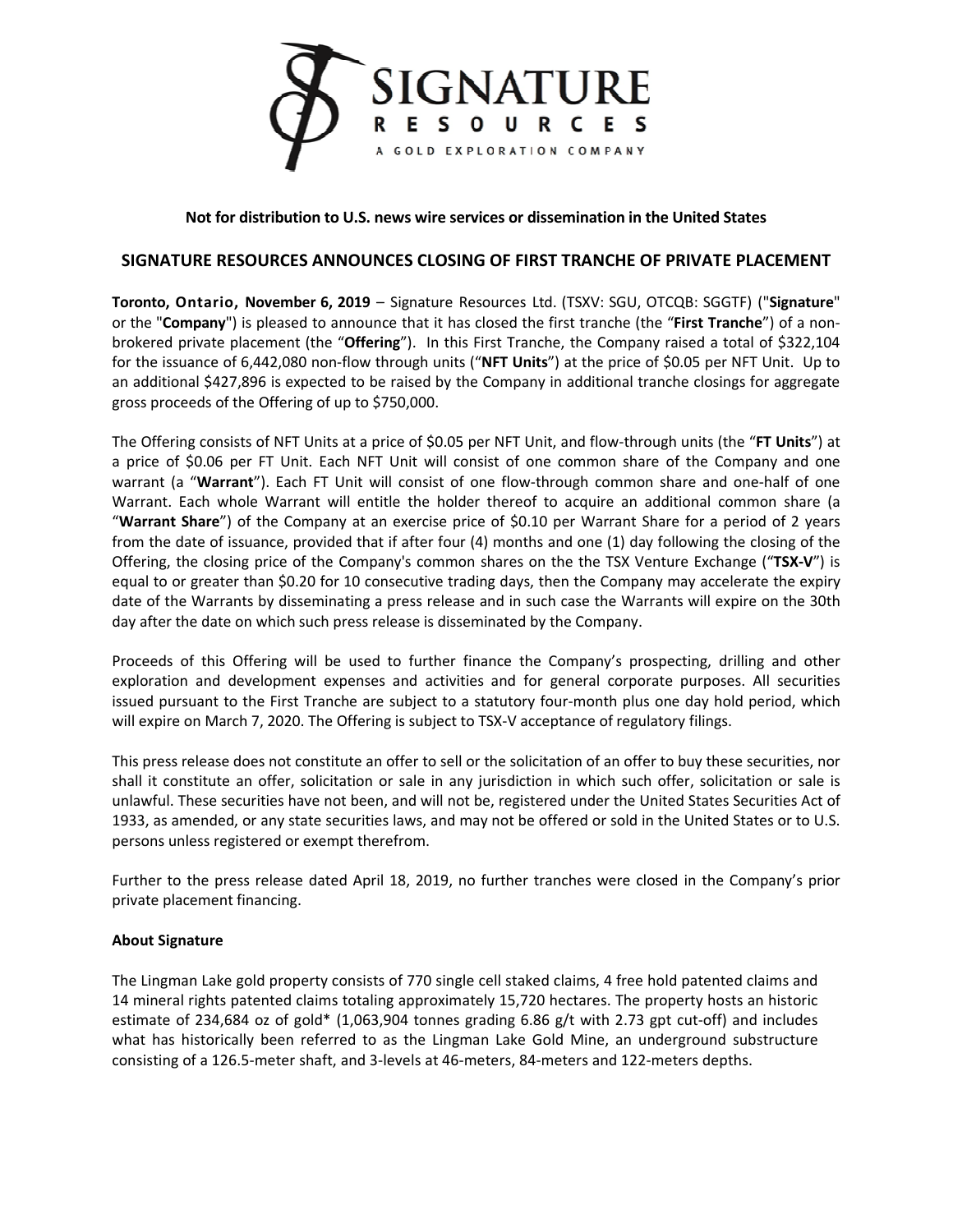

## **Not for distribution to U.S. news wire services or dissemination in the United States**

# **SIGNATURE RESOURCES ANNOUNCES CLOSING OF FIRST TRANCHE OF PRIVATE PLACEMENT**

**Toronto, Ontario, November 6, 2019** – Signature Resources Ltd. (TSXV: SGU, OTCQB: SGGTF) ("**Signature**" or the "**Company**") is pleased to announce that it has closed the first tranche (the "**First Tranche**") of a nonbrokered private placement (the "**Offering**"). In this First Tranche, the Company raised a total of \$322,104 for the issuance of 6,442,080 non-flow through units ("**NFT Units**") at the price of \$0.05 per NFT Unit. Up to an additional \$427,896 is expected to be raised by the Company in additional tranche closings for aggregate gross proceeds of the Offering of up to \$750,000.

The Offering consists of NFT Units at a price of \$0.05 per NFT Unit, and flow-through units (the "**FT Units**") at a price of \$0.06 per FT Unit. Each NFT Unit will consist of one common share of the Company and one warrant (a "**Warrant**"). Each FT Unit will consist of one flow-through common share and one-half of one Warrant. Each whole Warrant will entitle the holder thereof to acquire an additional common share (a "**Warrant Share**") of the Company at an exercise price of \$0.10 per Warrant Share for a period of 2 years from the date of issuance, provided that if after four (4) months and one (1) day following the closing of the Offering, the closing price of the Company's common shares on the the TSX Venture Exchange ("**TSX-V**") is equal to or greater than \$0.20 for 10 consecutive trading days, then the Company may accelerate the expiry date of the Warrants by disseminating a press release and in such case the Warrants will expire on the 30th day after the date on which such press release is disseminated by the Company.

Proceeds of this Offering will be used to further finance the Company's prospecting, drilling and other exploration and development expenses and activities and for general corporate purposes. All securities issued pursuant to the First Tranche are subject to a statutory four-month plus one day hold period, which will expire on March 7, 2020. The Offering is subject to TSX-V acceptance of regulatory filings.

This press release does not constitute an offer to sell or the solicitation of an offer to buy these securities, nor shall it constitute an offer, solicitation or sale in any jurisdiction in which such offer, solicitation or sale is unlawful. These securities have not been, and will not be, registered under the United States Securities Act of 1933, as amended, or any state securities laws, and may not be offered or sold in the United States or to U.S. persons unless registered or exempt therefrom.

Further to the press release dated April 18, 2019, no further tranches were closed in the Company's prior private placement financing.

### **About Signature**

The Lingman Lake gold property consists of 770 single cell staked claims, 4 free hold patented claims and 14 mineral rights patented claims totaling approximately 15,720 hectares. The property hosts an historic estimate of 234,684 oz of gold\* (1,063,904 tonnes grading 6.86 g/t with 2.73 gpt cut-off) and includes what has historically been referred to as the Lingman Lake Gold Mine, an underground substructure consisting of a 126.5-meter shaft, and 3-levels at 46-meters, 84-meters and 122-meters depths.